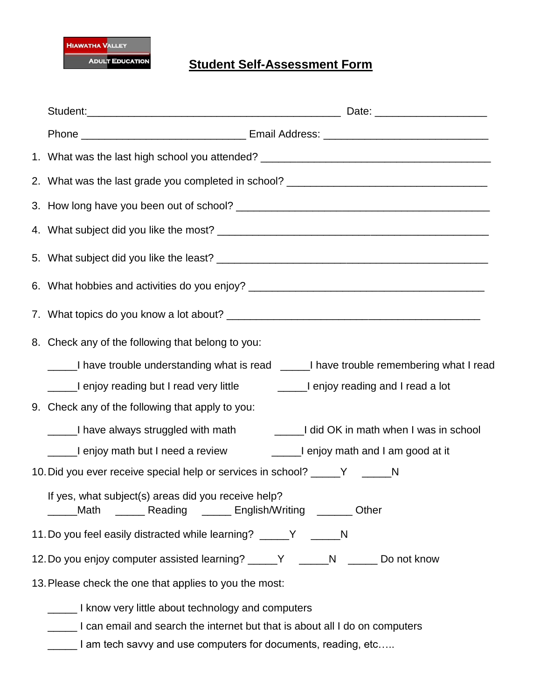

## **Student Self-Assessment Form**

| 1. What was the last high school you attended? _________________________________                                  |
|-------------------------------------------------------------------------------------------------------------------|
| 2. What was the last grade you completed in school? _____________________________                                 |
|                                                                                                                   |
|                                                                                                                   |
|                                                                                                                   |
| 6. What hobbies and activities do you enjoy? ___________________________________                                  |
|                                                                                                                   |
| 8. Check any of the following that belong to you:                                                                 |
| I have trouble understanding what is read [100] I have trouble remembering what I read                            |
| Lenjoy reading but I read very little <b>Leaft Communist Lengton</b> I read a lot                                 |
| 9. Check any of the following that apply to you:                                                                  |
| I have always struggled with math [10] and or and or an ath when I was in school                                  |
| _____I enjoy math but I need a review _________I enjoy math and I am good at it                                   |
| 10. Did you ever receive special help or services in school? _____Y _____N                                        |
| If yes, what subject(s) areas did you receive help?<br>Math _______ Reading _______ English/Writing _______ Other |
| 11. Do you feel easily distracted while learning? _____Y _____N                                                   |
| 12. Do you enjoy computer assisted learning? _____Y _____N _____ Do not know                                      |
| 13. Please check the one that applies to you the most:                                                            |
| I know very little about technology and computers                                                                 |
| 1 can email and search the internet but that is about all I do on computers                                       |

Lettian and use computers for documents, reading, etc.....